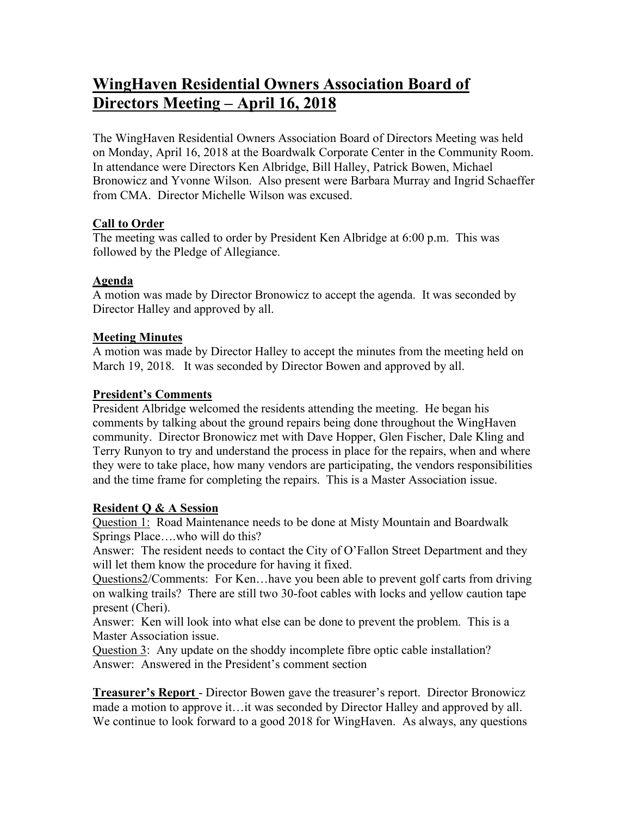# **WingHaven Residential Owners Association Board of Directors Meeting – April 16, 2018**

The WingHaven Residential Owners Association Board of Directors Meeting was held on Monday, April 16, 2018 at the Boardwalk Corporate Center in the Community Room. In attendance were Directors Ken Albridge, Bill Halley, Patrick Bowen, Michael Bronowicz and Yvonne Wilson. Also present were Barbara Murray and Ingrid Schaeffer from CMA. Director Michelle Wilson was excused.

# **Call to Order**

The meeting was called to order by President Ken Albridge at 6:00 p.m. This was followed by the Pledge of Allegiance.

# **Agenda**

A motion was made by Director Bronowicz to accept the agenda. It was seconded by Director Halley and approved by all.

# **Meeting Minutes**

A motion was made by Director Halley to accept the minutes from the meeting held on March 19, 2018. It was seconded by Director Bowen and approved by all.

# **President's Comments**

President Albridge welcomed the residents attending the meeting. He began his comments by talking about the ground repairs being done throughout the WingHaven community. Director Bronowicz met with Dave Hopper, Glen Fischer, Dale Kling and Terry Runyon to try and understand the process in place for the repairs, when and where they were to take place, how many vendors are participating, the vendors responsibilities and the time frame for completing the repairs. This is a Master Association issue.

# **Resident Q & A Session**

Question 1: Road Maintenance needs to be done at Misty Mountain and Boardwalk Springs Place….who will do this?

Answer: The resident needs to contact the City of O'Fallon Street Department and they will let them know the procedure for having it fixed.

Questions2/Comments: For Ken…have you been able to prevent golf carts from driving on walking trails? There are still two 30-foot cables with locks and yellow caution tape present (Cheri).

Answer: Ken will look into what else can be done to prevent the problem. This is a Master Association issue.

Question 3: Any update on the shoddy incomplete fibre optic cable installation? Answer: Answered in the President's comment section

**Treasurer's Report** - Director Bowen gave the treasurer's report. Director Bronowicz made a motion to approve it…it was seconded by Director Halley and approved by all. We continue to look forward to a good 2018 for WingHaven. As always, any questions